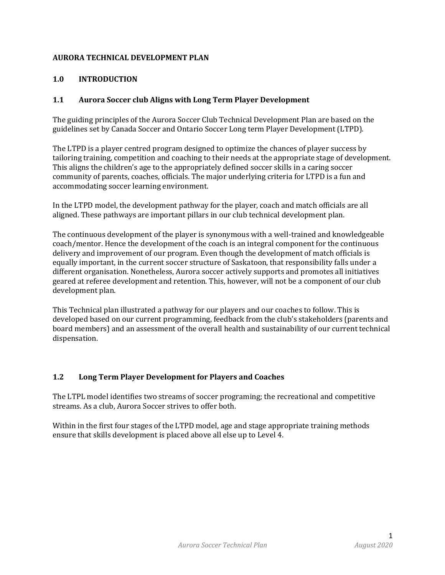#### **AURORA TECHNICAL DEVELOPMENT PLAN**

#### **1.0 INTRODUCTION**

#### **1.1 Aurora Soccer club Aligns with Long Term Player Development**

The guiding principles of the Aurora Soccer Club Technical Development Plan are based on the guidelines set by Canada Soccer and Ontario Soccer Long term Player Development (LTPD).

The LTPD is a player centred program designed to optimize the chances of player success by tailoring training, competition and coaching to their needs at the appropriate stage of development. This aligns the children's age to the appropriately defined soccer skills in a caring soccer community of parents, coaches, officials. The major underlying criteria for LTPD is a fun and accommodating soccer learning environment.

In the LTPD model, the development pathway for the player, coach and match officials are all aligned. These pathways are important pillars in our club technical development plan.

The continuous development of the player is synonymous with a well-trained and knowledgeable coach/mentor. Hence the development of the coach is an integral component for the continuous delivery and improvement of our program. Even though the development of match officials is equally important, in the current soccer structure of Saskatoon, that responsibility falls under a different organisation. Nonetheless, Aurora soccer actively supports and promotes all initiatives geared at referee development and retention. This, however, will not be a component of our club development plan.

This Technical plan illustrated a pathway for our players and our coaches to follow. This is developed based on our current programming, feedback from the club's stakeholders (parents and board members) and an assessment of the overall health and sustainability of our current technical dispensation. 

## **1.2 Long Term Player Development for Players and Coaches**

The LTPL model identifies two streams of soccer programing; the recreational and competitive streams. As a club, Aurora Soccer strives to offer both.

Within in the first four stages of the LTPD model, age and stage appropriate training methods ensure that skills development is placed above all else up to Level 4.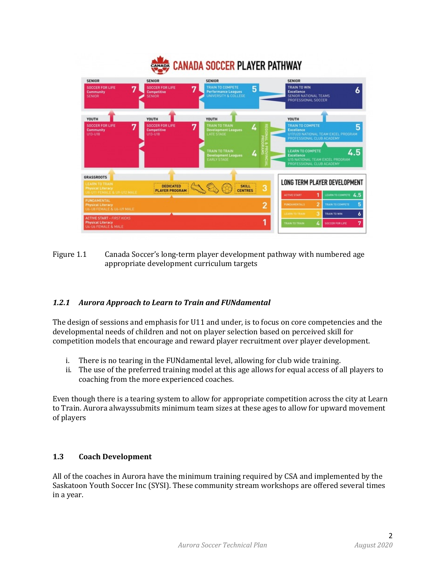|                                                                                                                  |                                                                                | <b>CANADA SOCCER PLAYER PATHWAY</b>                                                                             |                                          |                                                                                                               |                                                  |
|------------------------------------------------------------------------------------------------------------------|--------------------------------------------------------------------------------|-----------------------------------------------------------------------------------------------------------------|------------------------------------------|---------------------------------------------------------------------------------------------------------------|--------------------------------------------------|
| <b>SENIOR</b><br><b>SOCCER FOR LIFE</b><br>Community<br><b>SENIOR</b>                                            | <b>SENIOR</b><br><b>SOCCER FOR LIFE</b><br><b>Competitive</b><br><b>SENIOR</b> | <b>SENIOR</b><br><b>TRAIN TO COMPETE</b><br>7<br><b>Performance Leagues</b><br>UNIVERSITY & COLLEGE             | 5                                        | <b>SENIOR</b><br><b>TRAIN TO WIN</b><br>Excellence<br>SENIOR NATIONAL TEAMS<br>PROFESSIONAL SOCCER            | 6                                                |
| YOUTH<br>SOCCER FOR LIFE<br>Community<br>1113-1118                                                               | YOUTH<br>SOCCER FOR LIFE<br>7<br><b>Competitive</b><br>U13-U18                 | <b>YOUTH</b><br>7<br><b>TRAIN TO TRAIN</b><br><b>Development Leagues</b><br>LATE STAGE<br><b>TRAIN TO TRAIN</b> | 4                                        | YOUTH<br><b>TRAIN TO COMPETE</b><br><b>Excellence</b><br>PROFESSIONAL CLUB ACADEMY<br><b>LEARN TO COMPETE</b> | 5<br>U17/U20 NATIONAL TEAM EXCEL PROGRAM         |
| <b>GRASSROOTS</b><br><b>LEARN TO TRAIN</b><br><b>Physical Literacy</b><br><b>JB-UT1 FEMALE &amp; U9-UT2 MALI</b> | <b>DEDICATED</b><br><b>PLAYER PROGRAM</b>                                      | <b>Development Leagues</b><br><b>EARLY STAGE</b>                                                                | 4<br>3<br><b>SKILL</b><br><b>CENTRES</b> | <b>Excellence</b><br>U15 NATIONAL TEAM EXCEL PROGRAM<br>PROFESSIONAL CLUB ACADEMY                             | 4.5<br>LONG TERM PLAYER DEVELOPMENT              |
| <b>FUNDAMENTAL</b><br><b>Physical Literacy</b><br>U6-U8 FEMALE & U6-U9 MALE                                      |                                                                                |                                                                                                                 | $\overline{2}$                           | 1<br><b>ACTIVE START</b><br>$\overline{2}$<br><b>FUNDAMENTALS</b>                                             | LEARN TO COMPETE<br>4.5<br>5<br>TRAIN TO COMPETE |
| <b>ACTIVE START - FIRST KICKS</b><br><b>Physical Literacy</b><br><b>U4-U6 FEMALE &amp; MALE</b>                  |                                                                                |                                                                                                                 | 4                                        | R<br>LEARN TO TRAIN<br>4<br>TRAIN TO TRAIN                                                                    | <b>TRAIN TO WIN</b><br>6<br>7<br>SOCCER FOR LIFE |

#### Figure 1.1 Canada Soccer's long-term player development pathway with numbered age appropriate development curriculum targets

## 1.2.1 Aurora Approach to Learn to Train and FUNdamental

The design of sessions and emphasis for U11 and under, is to focus on core competencies and the developmental needs of children and not on player selection based on perceived skill for competition models that encourage and reward player recruitment over player development.

- i. There is no tearing in the FUNdamental level, allowing for club wide training.
- ii. The use of the preferred training model at this age allows for equal access of all players to coaching from the more experienced coaches.

Even though there is a tearing system to allow for appropriate competition across the city at Learn to Train. Aurora alwayssubmits minimum team sizes at these ages to allow for upward movement of players

#### **1.3 Coach Development**

All of the coaches in Aurora have the minimum training required by CSA and implemented by the Saskatoon Youth Soccer Inc (SYSI). These community stream workshops are offered several times in a year.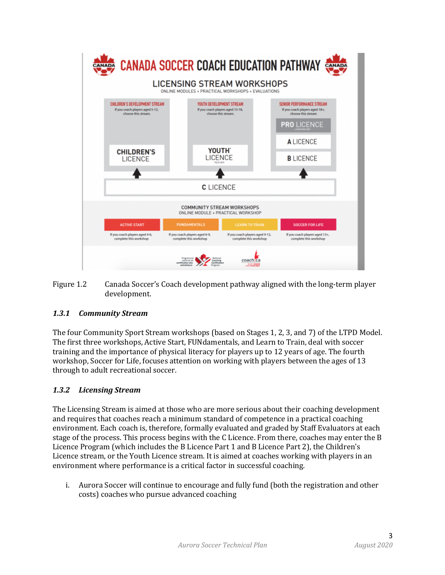

Figure 1.2 Canada Soccer's Coach development pathway aligned with the long-term player development. 

## *1.3.1 Community Stream*

The four Community Sport Stream workshops (based on Stages 1, 2, 3, and 7) of the LTPD Model. The first three workshops, Active Start, FUNdamentals, and Learn to Train, deal with soccer training and the importance of physical literacy for players up to 12 years of age. The fourth workshop, Soccer for Life, focuses attention on working with players between the ages of 13 through to adult recreational soccer.

# *1.3.2 Licensing Stream*

The Licensing Stream is aimed at those who are more serious about their coaching development and requires that coaches reach a minimum standard of competence in a practical coaching environment. Each coach is, therefore, formally evaluated and graded by Staff Evaluators at each stage of the process. This process begins with the C Licence. From there, coaches may enter the B Licence Program (which includes the B Licence Part 1 and B Licence Part 2), the Children's Licence stream, or the Youth Licence stream. It is aimed at coaches working with players in an environment where performance is a critical factor in successful coaching.

i. Aurora Soccer will continue to encourage and fully fund (both the registration and other costs) coaches who pursue advanced coaching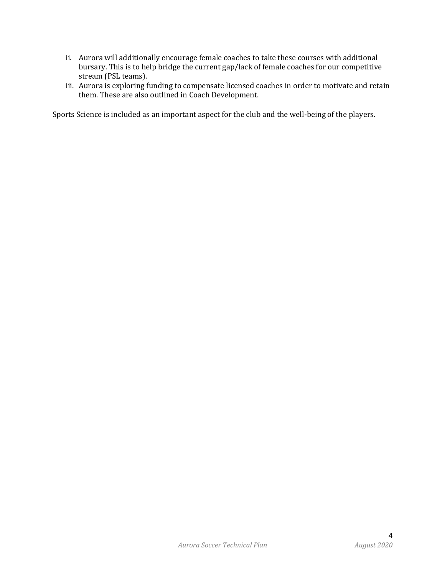- ii. Aurora will additionally encourage female coaches to take these courses with additional bursary. This is to help bridge the current gap/lack of female coaches for our competitive stream (PSL teams).
- iii. Aurora is exploring funding to compensate licensed coaches in order to motivate and retain them. These are also outlined in Coach Development.

Sports Science is included as an important aspect for the club and the well-being of the players.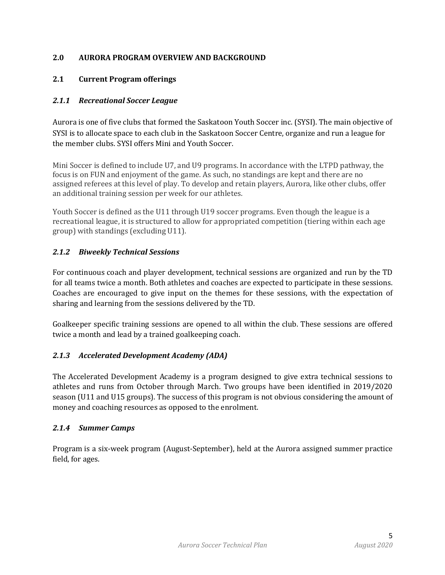## **2.0 AURORA PROGRAM OVERVIEW AND BACKGROUND**

## **2.1 Current Program offerings**

## *2.1.1 Recreational Soccer League*

Aurora is one of five clubs that formed the Saskatoon Youth Soccer inc. (SYSI). The main objective of SYSI is to allocate space to each club in the Saskatoon Soccer Centre, organize and run a league for the member clubs. SYSI offers Mini and Youth Soccer.

Mini Soccer is defined to include U7, and U9 programs. In accordance with the LTPD pathway, the focus is on FUN and enjoyment of the game. As such, no standings are kept and there are no assigned referees at this level of play. To develop and retain players, Aurora, like other clubs, offer an additional training session per week for our athletes.

Youth Soccer is defined as the U11 through U19 soccer programs. Even though the league is a recreational league, it is structured to allow for appropriated competition (tiering within each age group) with standings (excluding U11).

## *2.1.2 Biweekly Technical Sessions*

For continuous coach and player development, technical sessions are organized and run by the TD for all teams twice a month. Both athletes and coaches are expected to participate in these sessions. Coaches are encouraged to give input on the themes for these sessions, with the expectation of sharing and learning from the sessions delivered by the TD.

Goalkeeper specific training sessions are opened to all within the club. These sessions are offered twice a month and lead by a trained goalkeeping coach.

## *2.1.3 Accelerated Development Academy (ADA)*

The Accelerated Development Academy is a program designed to give extra technical sessions to athletes and runs from October through March. Two groups have been identified in 2019/2020 season (U11 and U15 groups). The success of this program is not obvious considering the amount of money and coaching resources as opposed to the enrolment.

#### *2.1.4 Summer Camps*

Program is a six-week program (August-September), held at the Aurora assigned summer practice field, for ages.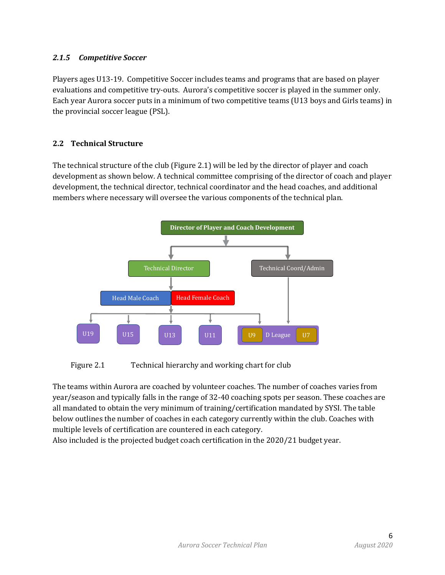## *2.1.5 Competitive Soccer*

Players ages U13-19. Competitive Soccer includes teams and programs that are based on player evaluations and competitive try-outs. Aurora's competitive soccer is played in the summer only. Each year Aurora soccer puts in a minimum of two competitive teams (U13 boys and Girls teams) in the provincial soccer league (PSL).

# **2.2 Technical Structure**

The technical structure of the club (Figure 2.1) will be led by the director of player and coach development as shown below. A technical committee comprising of the director of coach and player development, the technical director, technical coordinator and the head coaches, and additional members where necessary will oversee the various components of the technical plan.



Figure 2.1 Technical hierarchy and working chart for club

The teams within Aurora are coached by volunteer coaches. The number of coaches varies from year/season and typically falls in the range of 32-40 coaching spots per season. These coaches are all mandated to obtain the very minimum of training/certification mandated by SYSI. The table below outlines the number of coaches in each category currently within the club. Coaches with multiple levels of certification are countered in each category.

Also included is the projected budget coach certification in the  $2020/21$  budget year.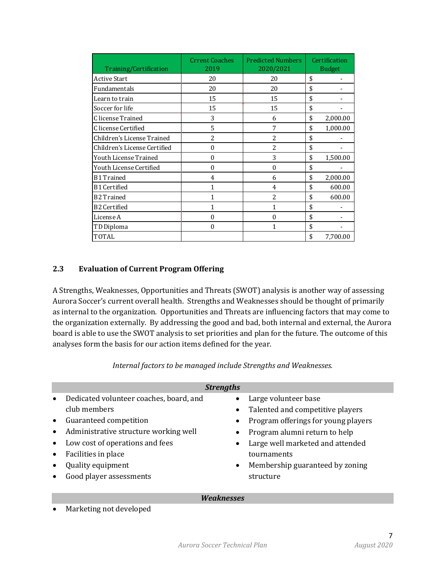| Training/Certification       | <b>Crrent Coaches</b><br>2019 | <b>Predicted Numbers</b><br>2020/2021 | Certification<br><b>Budget</b> |
|------------------------------|-------------------------------|---------------------------------------|--------------------------------|
| <b>Active Start</b>          | 20                            | 20                                    | \$                             |
| Fundamentals                 | 20                            | 20                                    | \$                             |
| Learn to train               | 15                            | 15                                    | \$                             |
| Soccer for life              | 15                            | 15                                    | \$                             |
| C license Trained            | 3                             | 6                                     | \$<br>2,000.00                 |
| C license Certified          | 5                             | 7                                     | \$<br>1,000.00                 |
| Children's License Trained   | $\overline{2}$                | $\overline{2}$                        | \$                             |
| Children's License Certified | $\theta$                      | $\overline{2}$                        | \$                             |
| Youth License Trained        | $\theta$                      | 3                                     | \$<br>1,500.00                 |
| Youth License Certified      | $\mathbf{0}$                  | $\boldsymbol{0}$                      | \$                             |
| <b>B1 Trained</b>            | 4                             | 6                                     | \$<br>2,000.00                 |
| <b>B1 Certified</b>          | 1                             | 4                                     | \$<br>600.00                   |
| <b>B2 Trained</b>            | 1                             | $\overline{a}$                        | \$<br>600.00                   |
| <b>B2 Certified</b>          | 1                             | 1                                     | \$                             |
| License A                    | $\Omega$                      | $\Omega$                              | \$                             |
| TD Diploma                   | $\theta$                      | 1                                     | \$                             |
| <b>TOTAL</b>                 |                               |                                       | \$<br>7,700.00                 |

## **2.3 Evaluation of Current Program Offering**

A Strengths, Weaknesses, Opportunities and Threats (SWOT) analysis is another way of assessing Aurora Soccer's current overall health. Strengths and Weaknesses should be thought of primarily as internal to the organization. Opportunities and Threats are influencing factors that may come to the organization externally. By addressing the good and bad, both internal and external, the Aurora board is able to use the SWOT analysis to set priorities and plan for the future. The outcome of this analyses form the basis for our action items defined for the year.

|  |  | Internal factors to be managed include Strengths and Weaknesses. |
|--|--|------------------------------------------------------------------|
|  |  |                                                                  |

| <b>Strengths</b>                                     |                                                  |  |  |  |
|------------------------------------------------------|--------------------------------------------------|--|--|--|
| Dedicated volunteer coaches, board, and<br>$\bullet$ | Large volunteer base<br>$\bullet$                |  |  |  |
| club members                                         | Talented and competitive players<br>$\bullet$    |  |  |  |
| Guaranteed competition<br>$\bullet$                  | Program offerings for young players<br>$\bullet$ |  |  |  |
| Administrative structure working well<br>$\bullet$   | Program alumni return to help<br>$\bullet$       |  |  |  |
| Low cost of operations and fees<br>$\bullet$         | Large well marketed and attended<br>$\bullet$    |  |  |  |
| Facilities in place<br>$\bullet$                     | tournaments                                      |  |  |  |
| Quality equipment                                    | Membership guaranteed by zoning<br>$\bullet$     |  |  |  |
| Good player assessments                              | structure                                        |  |  |  |
|                                                      |                                                  |  |  |  |

#### *Weaknesses*

• Marketing not developed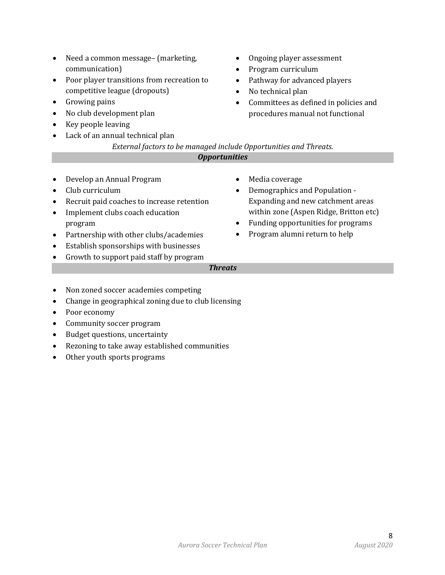- Need a common message- (marketing, communication)
- Poor player transitions from recreation to competitive league (dropouts)
- Growing pains
- No club development plan
- Key people leaving
- Lack of an annual technical plan
- Ongoing player assessment
- Program curriculum
- Pathway for advanced players

• Demographics and Population -

Expanding and new catchment areas within zone (Aspen Ridge, Britton etc)

• Funding opportunities for programs • Program alumni return to help

• No technical plan

• Media coverage

- Committees as defined in policies and procedures manual not functional
- *External factors to be managed include Opportunities and Threats. Opportunities*
- Develop an Annual Program
- Club curriculum
- Recruit paid coaches to increase retention
- Implement clubs coach education program
- Partnership with other clubs/academies
- Establish sponsorships with businesses
- Growth to support paid staff by program

# *Threats*

- Non zoned soccer academies competing
- Change in geographical zoning due to club licensing
- Poor economy
- Community soccer program
- Budget questions, uncertainty
- Rezoning to take away established communities
- Other youth sports programs

*Aurora Soccer Technical Plan August 2020*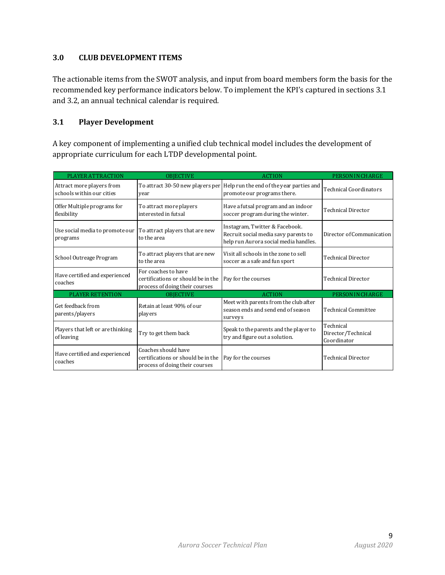#### **3.0 CLUB DEVELOPMENT ITEMS**

The actionable items from the SWOT analysis, and input from board members form the basis for the recommended key performance indicators below. To implement the KPI's captured in sections 3.1 and 3.2, an annual technical calendar is required.

## **3.1 Player Development**

A key component of implementing a unified club technical model includes the development of appropriate curriculum for each LTDP developmental point.

| PLAYER ATTRACTION                                      | <b>OBJECTIVE</b>                                                                            | <b>ACTION</b>                                                                                                   | PERSON IN CHARGE                               |
|--------------------------------------------------------|---------------------------------------------------------------------------------------------|-----------------------------------------------------------------------------------------------------------------|------------------------------------------------|
| Attract more players from<br>schools within our cities | year                                                                                        | To attract 30-50 new players per Help run the end of the year parties and<br>promote our programs there.        | Technical Coordinators                         |
| Offer Multiple programs for<br>flexibility             | To attract more players<br>interested in futsal                                             | Have a futsal program and an indoor<br>soccer program during the winter.                                        | <b>Technical Director</b>                      |
| Use social media to promote our<br>programs            | To attract players that are new<br>to the area                                              | Instagram, Twitter & Facebook.<br>Recruit social media savy parents to<br>help run Aurora social media handles. | Director of Communication                      |
| School Outreage Program                                | To attract players that are new<br>to the area                                              | Visit all schools in the zone to sell<br>soccer as a safe and fun sport                                         | <b>Technical Director</b>                      |
| Have certified and experienced<br>coaches              | For coaches to have<br>certifications or should be in the<br>process of doing their courses | Pay for the courses                                                                                             | <b>Technical Director</b>                      |
| PLAYER RETENTION                                       | <b>OBJECTIVE</b>                                                                            | <b>ACTION</b>                                                                                                   | PERSON IN CHARGE                               |
| Get feedback from<br>parents/players                   | Retain at least 90% of our<br>players                                                       | Meet with parents from the club after<br>season ends and send end of season<br>surveys                          | <b>Technical Committee</b>                     |
| Players that left or are thinking<br>ofleaving         | Try to get them back                                                                        | Speak to the parents and the player to<br>try and figure out a solution.                                        | Technical<br>Director/Technical<br>Coordinator |
| Have certified and experienced<br>coaches              | Coaches should have<br>certifications or should be in the<br>process of doing their courses | Pay for the courses                                                                                             | <b>Technical Director</b>                      |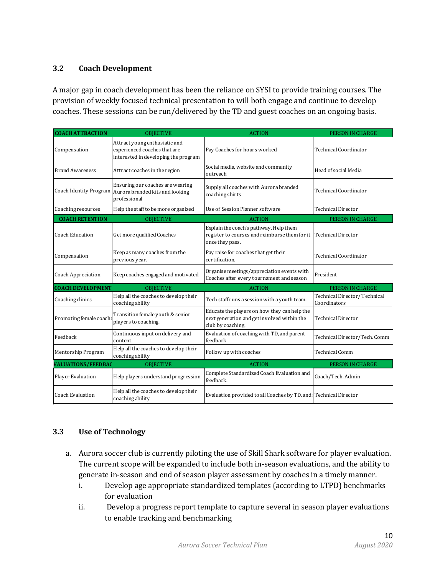#### **3.2 Coach Development**

A major gap in coach development has been the reliance on SYSI to provide training courses. The provision of weekly focused technical presentation to will both engage and continue to develop coaches. These sessions can be run/delivered by the TD and guest coaches on an ongoing basis.

| <b>COACH ATTRACTION</b>   | <b>OBJECTIVE</b>                                                                                      | <b>ACTION</b>                                                                                                    | PERSON IN CHARGE                               |
|---------------------------|-------------------------------------------------------------------------------------------------------|------------------------------------------------------------------------------------------------------------------|------------------------------------------------|
| Compensation              | Attract young enthusiatic and<br>experienced coaches that are<br>interested in developing the program | Pay Coaches for hours worked                                                                                     | <b>Technical Coordinator</b>                   |
| <b>Brand Awareness</b>    | Attract coaches in the region                                                                         | Social media, website and community<br>outreach                                                                  | Head of social Media                           |
| Coach Identity Program    | Ensuring our coaches are wearing<br>Aurora branded kits and looking<br>professional                   | Supply all coaches with Aurora branded<br>coaching shirts                                                        | Technical Coordinator                          |
| <b>Coaching resources</b> | Help the staff to be more organized                                                                   | Use of Session Planner software                                                                                  | <b>Technical Director</b>                      |
| <b>COACH RETENTION</b>    | <b>OBJECTIVE</b>                                                                                      | <b>ACTION</b>                                                                                                    | PERSON IN CHARGE                               |
| <b>Coach Education</b>    | Get more qualified Coaches                                                                            | Explain the coach's pathway. Help them<br>register to courses and reimburse them for it<br>once they pass.       | <b>Technical Director</b>                      |
| Compensation              | Keep as many coaches from the<br>previous year.                                                       | Pay raise for coaches that get their<br>certification.                                                           | <b>Technical Coordinator</b>                   |
| Coach Appreciation        | Keep coaches engaged and motivated                                                                    | Organise meetings/appreciation events with<br>Coaches after every tournament and season                          | President                                      |
| <b>COACH DEVELOPMENT</b>  | <b>OBJECTIVE</b>                                                                                      | <b>ACTION</b>                                                                                                    | PERSON IN CHARGE                               |
| Coaching clinics          | Help all the coaches to develop their<br>coaching ability                                             | Tech staff runs a session with a youth team.                                                                     | Technical Director / Technical<br>Coordinators |
| Promoting female coache   | Transition female youth & senior<br>players to coaching.                                              | Educate the players on how they can help the<br>next generation and get involved within the<br>club by coaching. | <b>Technical Director</b>                      |
| Feedback                  | Continuous input on delivery and<br>content                                                           | Evaluation of coaching with TD, and parent<br>feedback                                                           | Technical Director/Tech. Comm                  |
| Mentorship Program        | Help all the coaches to develop their<br>coaching ability                                             | Follow up with coaches                                                                                           | <b>Technical Comm</b>                          |
| <b>VALUATIONS/FEEDBAC</b> | <b>OBJECTIVE</b>                                                                                      | <b>ACTION</b>                                                                                                    | PERSON IN CHARGE                               |
| Player Evaluation         | Help players understand progression                                                                   | Complete Standardized Coach Evaluation and<br>feedback.                                                          | Coach/Tech. Admin                              |
| <b>Coach Evaluation</b>   | Help all the coaches to develop their<br>coaching ability                                             | Evaluation provided to all Coaches by TD, and Technical Director                                                 |                                                |

## **3.3 Use of Technology**

- a. Aurora soccer club is currently piloting the use of Skill Shark software for player evaluation. The current scope will be expanded to include both in-season evaluations, and the ability to generate in-season and end of season player assessment by coaches in a timely manner.
	- i. Develop age appropriate standardized templates (according to LTPD) benchmarks for evaluation
	- ii. Develop a progress report template to capture several in season player evaluations to enable tracking and benchmarking